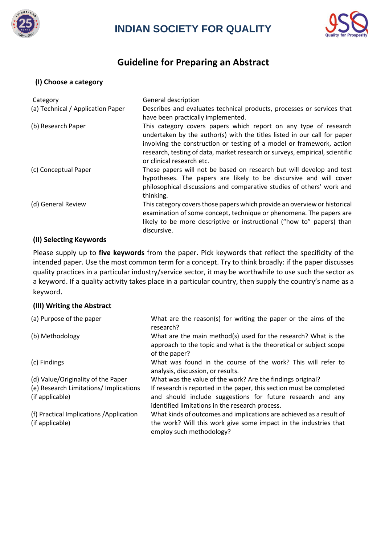

# **INDIAN SOCIETY FOR QUALITY**



## **Guideline for Preparing an Abstract**

#### **(I) Choose a category**

| Category                          | General description                                                                                                                                                                                                                                                                                                                |
|-----------------------------------|------------------------------------------------------------------------------------------------------------------------------------------------------------------------------------------------------------------------------------------------------------------------------------------------------------------------------------|
| (a) Technical / Application Paper | Describes and evaluates technical products, processes or services that<br>have been practically implemented.                                                                                                                                                                                                                       |
| (b) Research Paper                | This category covers papers which report on any type of research<br>undertaken by the author(s) with the titles listed in our call for paper<br>involving the construction or testing of a model or framework, action<br>research, testing of data, market research or surveys, empirical, scientific<br>or clinical research etc. |
| (c) Conceptual Paper              | These papers will not be based on research but will develop and test<br>hypotheses. The papers are likely to be discursive and will cover<br>philosophical discussions and comparative studies of others' work and<br>thinking.                                                                                                    |
| (d) General Review                | This category covers those papers which provide an overview or historical<br>examination of some concept, technique or phenomena. The papers are<br>likely to be more descriptive or instructional ("how to" papers) than<br>discursive.                                                                                           |

#### **(II) Selecting Keywords**

Please supply up to **five keywords** from the paper. Pick keywords that reflect the specificity of the intended paper. Use the most common term for a concept. Try to think broadly: if the paper discusses quality practices in a particular industry/service sector, it may be worthwhile to use such the sector as a keyword. If a quality activity takes place in a particular country, then supply the country's name as a keyword.

#### **(III) Writing the Abstract**

| (a) Purpose of the paper                                  | What are the reason(s) for writing the paper or the aims of the<br>research?                                                                                                          |
|-----------------------------------------------------------|---------------------------------------------------------------------------------------------------------------------------------------------------------------------------------------|
| (b) Methodology                                           | What are the main method(s) used for the research? What is the<br>approach to the topic and what is the theoretical or subject scope<br>of the paper?                                 |
| (c) Findings                                              | What was found in the course of the work? This will refer to<br>analysis, discussion, or results.                                                                                     |
| (d) Value/Originality of the Paper                        | What was the value of the work? Are the findings original?                                                                                                                            |
| (e) Research Limitations/ Implications<br>(if applicable) | If research is reported in the paper, this section must be completed<br>and should include suggestions for future research and any<br>identified limitations in the research process. |
| (f) Practical Implications / Application                  | What kinds of outcomes and implications are achieved as a result of                                                                                                                   |
| (if applicable)                                           | the work? Will this work give some impact in the industries that<br>employ such methodology?                                                                                          |